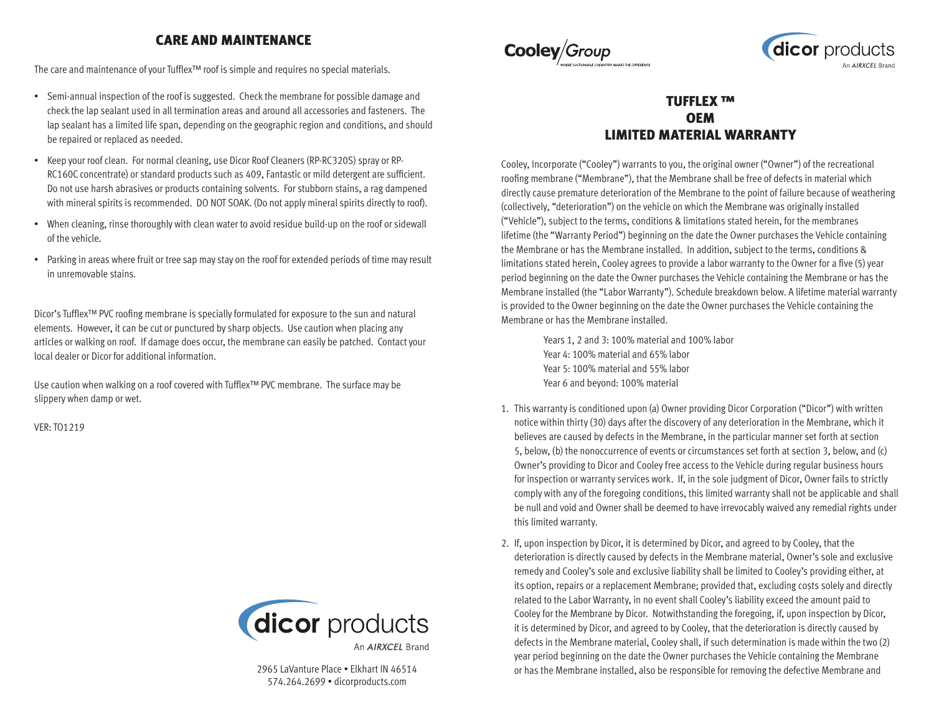## CARE AND MAINTENANCE

The care and maintenance of your Tufflex™ roof is simple and requires no special materials.

- Semi-annual inspection of the roof is suggested. Check the membrane for possible damage and check the lap sealant used in all termination areas and around all accessories and fasteners. The lap sealant has a limited life span, depending on the geographic region and conditions, and should be repaired or replaced as needed.
- Keep your roof clean. For normal cleaning, use Dicor Roof Cleaners (RP-RC320S) spray or RP-RC160C concentrate) or standard products such as 409, Fantastic or mild detergent are sufficient. Do not use harsh abrasives or products containing solvents. For stubborn stains, a rag dampened with mineral spirits is recommended. DO NOT SOAK. (Do not apply mineral spirits directly to roof).
- When cleaning, rinse thoroughly with clean water to avoid residue build-up on the roof or sidewall of the vehicle.
- Parking in areas where fruit or tree sap may stay on the roof for extended periods of time may result in unremovable stains.

Dicor's Tufflex™ PVC roofing membrane is specially formulated for exposure to the sun and natural elements. However, it can be cut or punctured by sharp objects. Use caution when placing any articles or walking on roof. If damage does occur, the membrane can easily be patched. Contact your local dealer or Dicor for additional information.

Use caution when walking on a roof covered with Tufflex™ PVC membrane. The surface may be slippery when damp or wet.

VER: TO1219



2965 LaVanture Place • Elkhart IN 46514 574.264.2699 • dicorproducts.com





## TUFFLEX ™ **OEM** LIMITED MATERIAL WARRANTY

Cooley, Incorporate ("Cooley") warrants to you, the original owner ("Owner") of the recreational roofing membrane ("Membrane"), that the Membrane shall be free of defects in material which directly cause premature deterioration of the Membrane to the point of failure because of weathering (collectively, "deterioration") on the vehicle on which the Membrane was originally installed ("Vehicle"), subject to the terms, conditions & limitations stated herein, for the membranes lifetime (the "Warranty Period") beginning on the date the Owner purchases the Vehicle containing the Membrane or has the Membrane installed. In addition, subject to the terms, conditions & limitations stated herein, Cooley agrees to provide a labor warranty to the Owner for a five (5) year period beginning on the date the Owner purchases the Vehicle containing the Membrane or has the Membrane installed (the "Labor Warranty"). Schedule breakdown below. A lifetime material warranty is provided to the Owner beginning on the date the Owner purchases the Vehicle containing the Membrane or has the Membrane installed.

> Years 1, 2 and 3: 100% material and 100% labor Year 4: 100% material and 65% labor Year 5: 100% material and 55% labor Year 6 and beyond: 100% material

- 1. This warranty is conditioned upon (a) Owner providing Dicor Corporation ("Dicor") with written notice within thirty (30) days after the discovery of any deterioration in the Membrane, which it believes are caused by defects in the Membrane, in the particular manner set forth at section 5, below, (b) the nonoccurrence of events or circumstances set forth at section 3, below, and (c) Owner's providing to Dicor and Cooley free access to the Vehicle during regular business hours for inspection or warranty services work. If, in the sole judgment of Dicor, Owner fails to strictly comply with any of the foregoing conditions, this limited warranty shall not be applicable and shall be null and void and Owner shall be deemed to have irrevocably waived any remedial rights under this limited warranty.
- 2. If, upon inspection by Dicor, it is determined by Dicor, and agreed to by Cooley, that the deterioration is directly caused by defects in the Membrane material, Owner's sole and exclusive remedy and Cooley's sole and exclusive liability shall be limited to Cooley's providing either, at its option, repairs or a replacement Membrane; provided that, excluding costs solely and directly related to the Labor Warranty, in no event shall Cooley's liability exceed the amount paid to Cooley for the Membrane by Dicor. Notwithstanding the foregoing, if, upon inspection by Dicor, it is determined by Dicor, and agreed to by Cooley, that the deterioration is directly caused by defects in the Membrane material, Cooley shall, if such determination is made within the two (2) year period beginning on the date the Owner purchases the Vehicle containing the Membrane or has the Membrane installed, also be responsible for removing the defective Membrane and